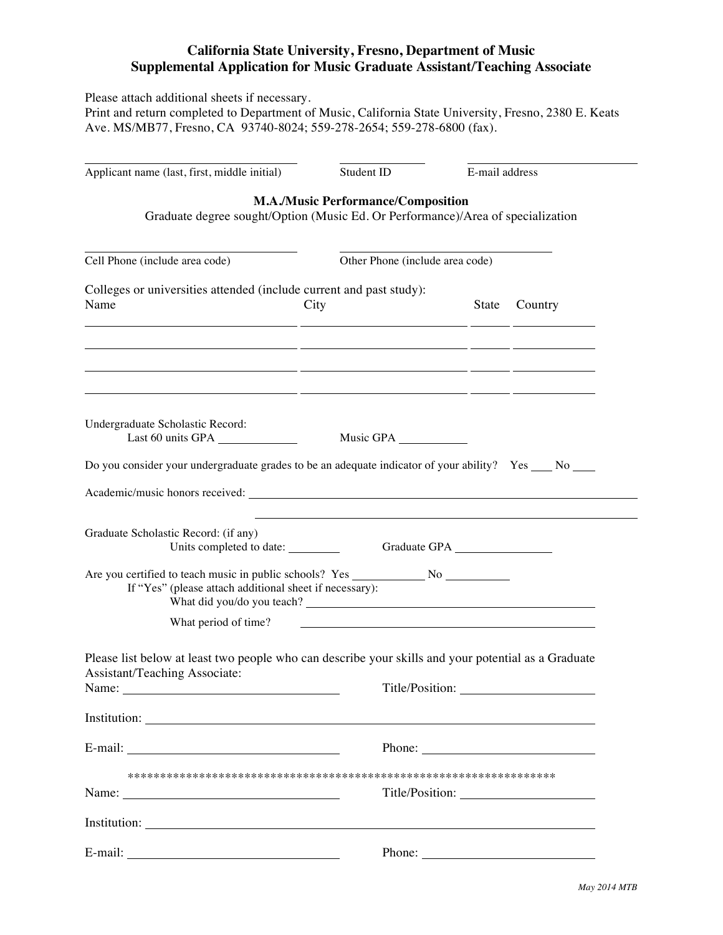## **California State University, Fresno, Department of Music Supplemental Application for Music Graduate Assistant/Teaching Associate**

Please attach additional sheets if necessary.

Print and return completed to Department of Music, California State University, Fresno, 2380 E. Keats Ave. MS/MB77, Fresno, CA 93740-8024; 559-278-2654; 559-278-6800 (fax).

| Applicant name (last, first, middle initial)                                                                                                                                                                                                                                                                                                                                          | Student ID                                                                                                                   | E-mail address                  |  |  |  |
|---------------------------------------------------------------------------------------------------------------------------------------------------------------------------------------------------------------------------------------------------------------------------------------------------------------------------------------------------------------------------------------|------------------------------------------------------------------------------------------------------------------------------|---------------------------------|--|--|--|
| <b>M.A./Music Performance/Composition</b><br>Graduate degree sought/Option (Music Ed. Or Performance)/Area of specialization                                                                                                                                                                                                                                                          |                                                                                                                              |                                 |  |  |  |
| Cell Phone (include area code)                                                                                                                                                                                                                                                                                                                                                        |                                                                                                                              | Other Phone (include area code) |  |  |  |
| Colleges or universities attended (include current and past study):<br>Name                                                                                                                                                                                                                                                                                                           | City<br><u> 1990 - Jan James James Jan James James James James James James James James James James James James James Jam</u> | State<br>Country                |  |  |  |
| <u> 1999 - Jan James James James James James James James James James James James James James James James James J</u>                                                                                                                                                                                                                                                                  | <u> 1990 - Jan James James Jan James James James James James James James James James James James James James Jam</u>         |                                 |  |  |  |
| Undergraduate Scholastic Record:<br>Last 60 units GPA                                                                                                                                                                                                                                                                                                                                 | Music GPA                                                                                                                    |                                 |  |  |  |
| Do you consider your undergraduate grades to be an adequate indicator of your ability? Yes ___ No ___                                                                                                                                                                                                                                                                                 |                                                                                                                              |                                 |  |  |  |
|                                                                                                                                                                                                                                                                                                                                                                                       |                                                                                                                              |                                 |  |  |  |
| Graduate Scholastic Record: (if any)<br>Units completed to date: ___________<br>If "Yes" (please attach additional sheet if necessary):                                                                                                                                                                                                                                               |                                                                                                                              |                                 |  |  |  |
| What period of time?                                                                                                                                                                                                                                                                                                                                                                  |                                                                                                                              |                                 |  |  |  |
| Please list below at least two people who can describe your skills and your potential as a Graduate<br>Assistant/Teaching Associate:<br>Name:<br>Institution: <u>the contract of the contract of the contract of the contract of the contract of the contract of the contract of the contract of the contract of the contract of the contract of the contract of the contract of </u> | Title/Position:                                                                                                              |                                 |  |  |  |
|                                                                                                                                                                                                                                                                                                                                                                                       |                                                                                                                              |                                 |  |  |  |
|                                                                                                                                                                                                                                                                                                                                                                                       |                                                                                                                              |                                 |  |  |  |
|                                                                                                                                                                                                                                                                                                                                                                                       |                                                                                                                              |                                 |  |  |  |
|                                                                                                                                                                                                                                                                                                                                                                                       |                                                                                                                              |                                 |  |  |  |
| E-mail:                                                                                                                                                                                                                                                                                                                                                                               |                                                                                                                              | Phone: $\qquad \qquad$          |  |  |  |